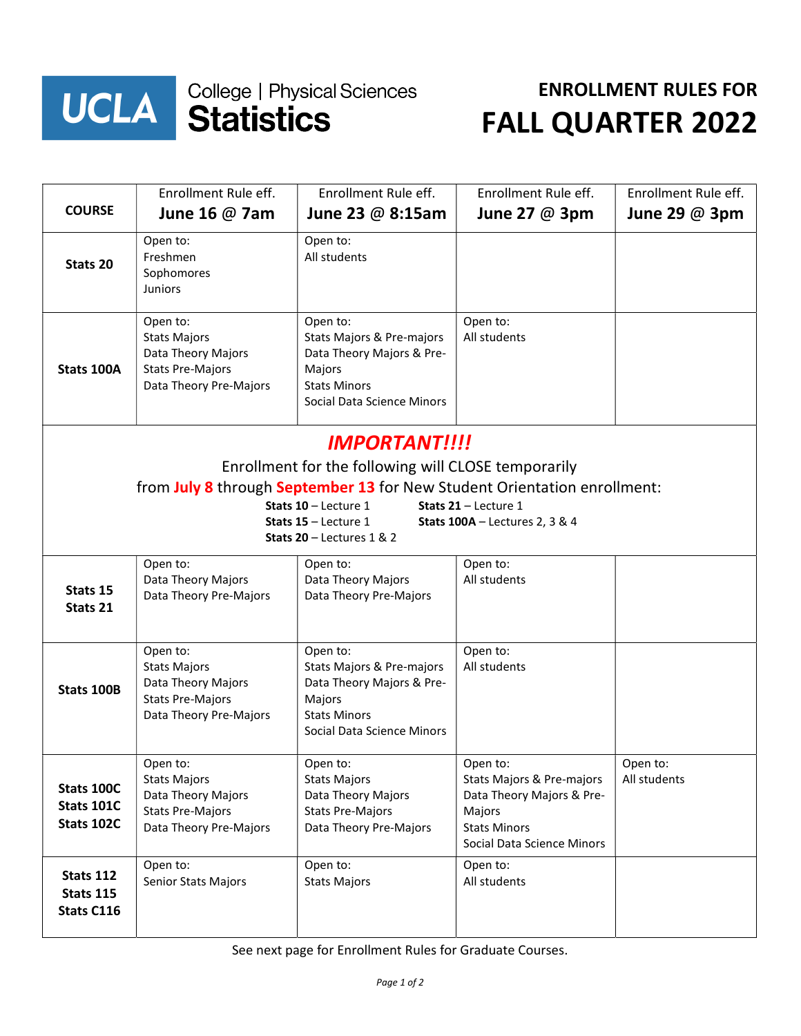

## **UCLA Statistics**

## ENROLLMENT RULES FOR FALL QUARTER 2022

|                                                                                                                            | Enrollment Rule eff.                                                                                       | Enrollment Rule eff.                                                                                                              | Enrollment Rule eff.                                                                                                              | Enrollment Rule eff.     |  |  |  |
|----------------------------------------------------------------------------------------------------------------------------|------------------------------------------------------------------------------------------------------------|-----------------------------------------------------------------------------------------------------------------------------------|-----------------------------------------------------------------------------------------------------------------------------------|--------------------------|--|--|--|
| <b>COURSE</b>                                                                                                              | June 16 $@$ 7am                                                                                            | June 23 $@$ 8:15am                                                                                                                | June 27 $@$ 3pm                                                                                                                   | June 29 $@$ 3pm          |  |  |  |
| Stats 20                                                                                                                   | Open to:<br>Freshmen<br>Sophomores<br><b>Juniors</b>                                                       | Open to:<br>All students                                                                                                          |                                                                                                                                   |                          |  |  |  |
| Stats 100A                                                                                                                 | Open to:<br><b>Stats Majors</b><br>Data Theory Majors<br><b>Stats Pre-Majors</b><br>Data Theory Pre-Majors | Open to:<br>Stats Majors & Pre-majors<br>Data Theory Majors & Pre-<br>Majors<br><b>Stats Minors</b><br>Social Data Science Minors | Open to:<br>All students                                                                                                          |                          |  |  |  |
| <b>IMPORTANT!!!!</b>                                                                                                       |                                                                                                            |                                                                                                                                   |                                                                                                                                   |                          |  |  |  |
| Enrollment for the following will CLOSE temporarily                                                                        |                                                                                                            |                                                                                                                                   |                                                                                                                                   |                          |  |  |  |
| from July 8 through September 13 for New Student Orientation enrollment:<br>Stats $10 -$ Lecture 1<br>Stats 21 - Lecture 1 |                                                                                                            |                                                                                                                                   |                                                                                                                                   |                          |  |  |  |
| Stats 15 - Lecture 1<br><b>Stats 100A</b> - Lectures 2, 3 & 4                                                              |                                                                                                            |                                                                                                                                   |                                                                                                                                   |                          |  |  |  |
| Stats 20 - Lectures 1 & 2                                                                                                  |                                                                                                            |                                                                                                                                   |                                                                                                                                   |                          |  |  |  |
| Stats 15<br>Stats 21                                                                                                       | Open to:<br>Data Theory Majors<br>Data Theory Pre-Majors                                                   | Open to:<br>Data Theory Majors<br>Data Theory Pre-Majors                                                                          | Open to:<br>All students                                                                                                          |                          |  |  |  |
| Stats 100B                                                                                                                 | Open to:<br><b>Stats Majors</b><br>Data Theory Majors<br><b>Stats Pre-Majors</b><br>Data Theory Pre-Majors | Open to:<br>Stats Majors & Pre-majors<br>Data Theory Majors & Pre-<br>Majors<br><b>Stats Minors</b><br>Social Data Science Minors | Open to:<br>All students                                                                                                          |                          |  |  |  |
| Stats 100C<br><b>Stats 101C</b><br>Stats 102C                                                                              | Open to:<br><b>Stats Majors</b><br>Data Theory Majors<br><b>Stats Pre-Majors</b><br>Data Theory Pre-Majors | Open to:<br><b>Stats Majors</b><br>Data Theory Majors<br><b>Stats Pre-Majors</b><br>Data Theory Pre-Majors                        | Open to:<br>Stats Majors & Pre-majors<br>Data Theory Majors & Pre-<br>Majors<br><b>Stats Minors</b><br>Social Data Science Minors | Open to:<br>All students |  |  |  |
| Stats 112<br>Stats 115<br>Stats C116                                                                                       | Open to:<br>Senior Stats Majors                                                                            | Open to:<br><b>Stats Majors</b>                                                                                                   | Open to:<br>All students                                                                                                          |                          |  |  |  |

See next page for Enrollment Rules for Graduate Courses.